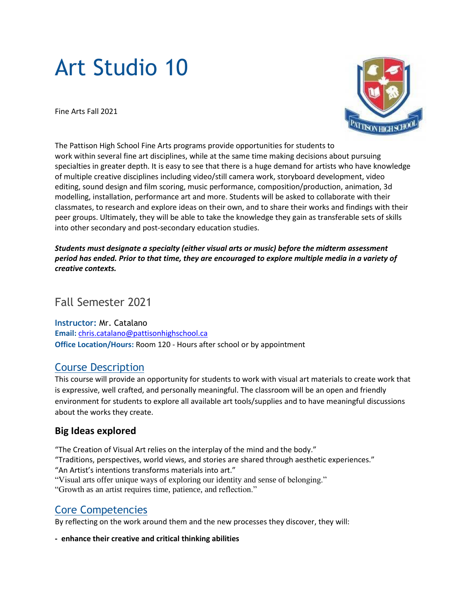# Art Studio 10

Fine Arts Fall 2021



The Pattison High School Fine Arts programs provide opportunities for students to work within several fine art disciplines, while at the same time making decisions about pursuing specialties in greater depth. It is easy to see that there is a huge demand for artists who have knowledge of multiple creative disciplines including video/still camera work, storyboard development, video editing, sound design and film scoring, music performance, composition/production, animation, 3d modelling, installation, performance art and more. Students will be asked to collaborate with their classmates, to research and explore ideas on their own, and to share their works and findings with their peer groups. Ultimately, they will be able to take the knowledge they gain as transferable sets of skills into other secondary and post-secondary education studies.

*Students must designate a specialty (either visual arts or music) before the midterm assessment* period has ended. Prior to that time, they are encouraged to explore multiple media in a variety of *creative contexts.*

## Fall Semester 2021

**Instructor:** Mr. Catalano **Email:** [chris.catalano@pattisonhighschool.ca](mailto:chris.catalano@pattisonhighschool.ca) **Office Location/Hours:** Room 120 - Hours after school or by appointment

## Course Description

This course will provide an opportunity for students to work with visual art materials to create work that is expressive, well crafted, and personally meaningful. The classroom will be an open and friendly environment for students to explore all available art tools/supplies and to have meaningful discussions about the works they create.

## **Big Ideas explored**

"The Creation of Visual Art relies on the interplay of the mind and the body." "Traditions, perspectives, world views, and stories are shared through aesthetic experiences." "An Artist's intentions transforms materials into art." "Visual arts offer unique ways of exploring our identity and sense of belonging." "Growth as an artist requires time, patience, and reflection."

# Core Competencies

By reflecting on the work around them and the new processes they discover, they will:

**- enhance their creative and critical thinking abilities**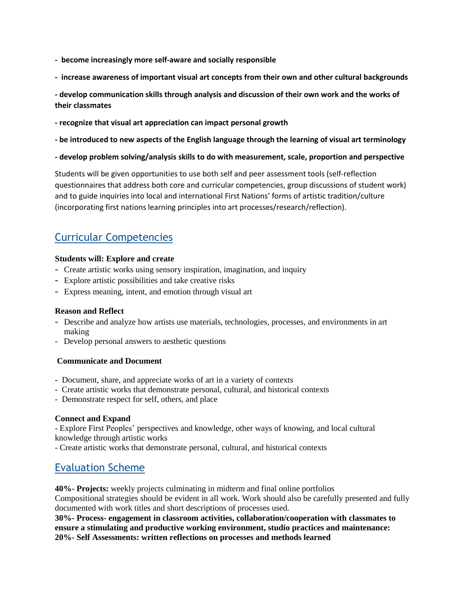- **become increasingly more self-aware and socially responsible**
- **increase awareness of important visual art concepts from their own and other cultural backgrounds**
- **- develop communication skills through analysis and discussion of their own work and the works of their classmates**
- **- recognize that visual art appreciation can impact personal growth**
- **- be introduced to new aspects of the English language through the learning of visual art terminology**
- **- develop problem solving/analysis skills to do with measurement, scale, proportion and perspective**

Students will be given opportunities to use both self and peer assessment tools (self-reflection questionnaires that address both core and curricular competencies, group discussions of student work) and to guide inquiries into local and international First Nations' forms of artistic tradition/culture (incorporating first nations learning principles into art processes/research/reflection).

# Curricular Competencies

#### **Students will: Explore and create**

- Create artistic works using sensory inspiration, imagination, and inquiry
- Explore artistic possibilities and take creative risks
- Express meaning, intent, and emotion through visual art

#### **Reason and Reflect**

- Describe and analyze how artists use materials, technologies, processes, and environments in art making
- Develop personal answers to aesthetic questions

#### **Communicate and Document**

- Document, share, and appreciate works of art in a variety of contexts
- Create artistic works that demonstrate personal, cultural, and historical contexts
- Demonstrate respect for self, others, and place

#### **Connect and Expand**

- Explore First Peoples' perspectives and knowledge, other ways of knowing, and local cultural knowledge through artistic works

- Create artistic works that demonstrate personal, cultural, and historical contexts

## Evaluation Scheme

**40%- Projects:** weekly projects culminating in midterm and final online portfolios Compositional strategies should be evident in all work. Work should also be carefully presented and fully documented with work titles and short descriptions of processes used.

**30%- Process- engagement in classroom activities, collaboration/cooperation with classmates to ensure a stimulating and productive working environment, studio practices and maintenance: 20%- Self Assessments: written reflections on processes and methods learned**